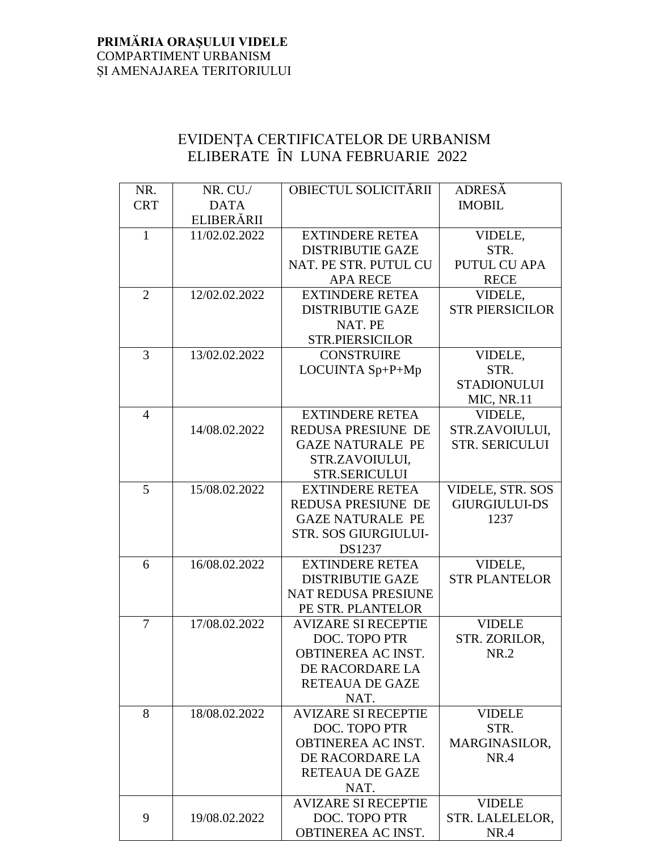## **PRIMӐRIA ORAŞULUI VIDELE** COMPARTIMENT URBANISM ṢI AMENAJAREA TERITORIULUI

## EVIDENŢA CERTIFICATELOR DE URBANISM ELIBERATE ÎN LUNA FEBRUARIE 2022

| NR.            | NR. CU./      | OBIECTUL SOLICITĂRII        | <b>ADRESĂ</b>          |
|----------------|---------------|-----------------------------|------------------------|
| <b>CRT</b>     | <b>DATA</b>   |                             | <b>IMOBIL</b>          |
|                | ELIBERĂRII    |                             |                        |
| $\mathbf{1}$   | 11/02.02.2022 | <b>EXTINDERE RETEA</b>      | VIDELE,                |
|                |               | <b>DISTRIBUTIE GAZE</b>     | STR.                   |
|                |               | NAT. PE STR. PUTUL CU       | <b>PUTUL CU APA</b>    |
|                |               | <b>APA RECE</b>             | <b>RECE</b>            |
| $\overline{2}$ | 12/02.02.2022 | <b>EXTINDERE RETEA</b>      | VIDELE,                |
|                |               | <b>DISTRIBUTIE GAZE</b>     | <b>STR PIERSICILOR</b> |
|                |               | NAT. PE                     |                        |
|                |               | <b>STR.PIERSICILOR</b>      |                        |
| 3              | 13/02.02.2022 | <b>CONSTRUIRE</b>           | VIDELE,                |
|                |               | LOCUINTA Sp+P+Mp            | STR.                   |
|                |               |                             | <b>STADIONULUI</b>     |
|                |               |                             | MIC, NR.11             |
| 4              |               | <b>EXTINDERE RETEA</b>      | VIDELE,                |
|                | 14/08.02.2022 | REDUSA PRESIUNE DE          | STR.ZAVOIULUI,         |
|                |               | <b>GAZE NATURALE PE</b>     | <b>STR. SERICULUI</b>  |
|                |               | STR.ZAVOIULUI,              |                        |
|                |               | <b>STR.SERICULUI</b>        |                        |
| 5              | 15/08.02.2022 | <b>EXTINDERE RETEA</b>      | VIDELE, STR. SOS       |
|                |               | REDUSA PRESIUNE DE          | <b>GIURGIULUI-DS</b>   |
|                |               | <b>GAZE NATURALE PE</b>     | 1237                   |
|                |               | <b>STR. SOS GIURGIULUI-</b> |                        |
|                |               | DS1237                      |                        |
| 6              | 16/08.02.2022 | <b>EXTINDERE RETEA</b>      | VIDELE,                |
|                |               | <b>DISTRIBUTIE GAZE</b>     | <b>STR PLANTELOR</b>   |
|                |               | NAT REDUSA PRESIUNE         |                        |
|                |               | PE STR. PLANTELOR           |                        |
| 7              | 17/08.02.2022 | <b>AVIZARE SI RECEPTIE</b>  | <b>VIDELE</b>          |
|                |               | DOC. TOPO PTR               | STR. ZORILOR,          |
|                |               | OBTINEREA AC INST.          | NR.2                   |
|                |               | DE RACORDARE LA             |                        |
|                |               | <b>RETEAUA DE GAZE</b>      |                        |
|                |               | NAT.                        |                        |
| 8              | 18/08.02.2022 | <b>AVIZARE SI RECEPTIE</b>  | <b>VIDELE</b>          |
|                |               | DOC. TOPO PTR               | STR.                   |
|                |               | OBTINEREA AC INST.          | MARGINASILOR,          |
|                |               | DE RACORDARE LA             | <b>NR.4</b>            |
|                |               | <b>RETEAUA DE GAZE</b>      |                        |
|                |               | NAT.                        |                        |
|                |               | <b>AVIZARE SI RECEPTIE</b>  | <b>VIDELE</b>          |
| 9              | 19/08.02.2022 | DOC. TOPO PTR               | STR. LALELELOR,        |
|                |               | OBTINEREA AC INST.          | NR.4                   |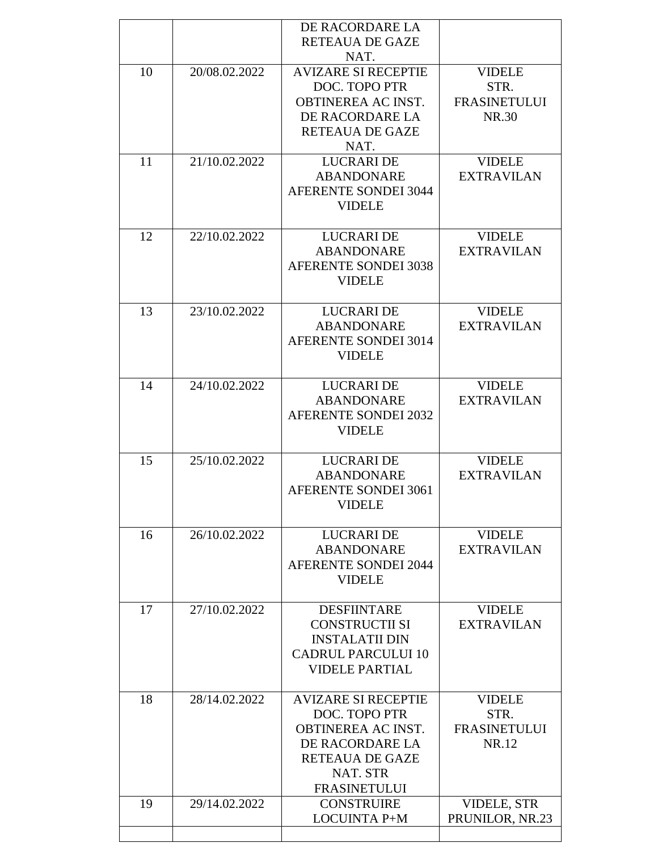|    |               | DE RACORDARE LA             |                     |
|----|---------------|-----------------------------|---------------------|
|    |               | RETEAUA DE GAZE             |                     |
|    |               | NAT.                        |                     |
| 10 | 20/08.02.2022 | <b>AVIZARE SI RECEPTIE</b>  | <b>VIDELE</b>       |
|    |               | DOC. TOPO PTR               | STR.                |
|    |               | OBTINEREA AC INST.          | <b>FRASINETULUI</b> |
|    |               | DE RACORDARE LA             | NR.30               |
|    |               | <b>RETEAUA DE GAZE</b>      |                     |
|    |               | NAT.                        |                     |
| 11 | 21/10.02.2022 | <b>LUCRARIDE</b>            | <b>VIDELE</b>       |
|    |               | <b>ABANDONARE</b>           | <b>EXTRAVILAN</b>   |
|    |               | <b>AFERENTE SONDEI 3044</b> |                     |
|    |               | <b>VIDELE</b>               |                     |
|    |               |                             |                     |
| 12 | 22/10.02.2022 | <b>LUCRARIDE</b>            | <b>VIDELE</b>       |
|    |               |                             | <b>EXTRAVILAN</b>   |
|    |               | <b>ABANDONARE</b>           |                     |
|    |               | <b>AFERENTE SONDEI 3038</b> |                     |
|    |               | <b>VIDELE</b>               |                     |
| 13 | 23/10.02.2022 | <b>LUCRARI DE</b>           | <b>VIDELE</b>       |
|    |               | <b>ABANDONARE</b>           | <b>EXTRAVILAN</b>   |
|    |               | <b>AFERENTE SONDEI 3014</b> |                     |
|    |               | <b>VIDELE</b>               |                     |
|    |               |                             |                     |
| 14 | 24/10.02.2022 | <b>LUCRARI DE</b>           | <b>VIDELE</b>       |
|    |               | <b>ABANDONARE</b>           | <b>EXTRAVILAN</b>   |
|    |               | <b>AFERENTE SONDEI 2032</b> |                     |
|    |               | <b>VIDELE</b>               |                     |
|    |               |                             |                     |
| 15 | 25/10.02.2022 | <b>LUCRARIDE</b>            | <b>VIDELE</b>       |
|    |               | <b>ABANDONARE</b>           | <b>EXTRAVILAN</b>   |
|    |               | <b>AFERENTE SONDEI 3061</b> |                     |
|    |               | <b>VIDELE</b>               |                     |
|    |               |                             |                     |
| 16 | 26/10.02.2022 | <b>LUCRARIDE</b>            | <b>VIDELE</b>       |
|    |               | <b>ABANDONARE</b>           | <b>EXTRAVILAN</b>   |
|    |               | <b>AFERENTE SONDEI 2044</b> |                     |
|    |               | <b>VIDELE</b>               |                     |
|    |               |                             |                     |
| 17 | 27/10.02.2022 | <b>DESFIINTARE</b>          | <b>VIDELE</b>       |
|    |               | <b>CONSTRUCTII SI</b>       | <b>EXTRAVILAN</b>   |
|    |               | <b>INSTALATII DIN</b>       |                     |
|    |               | <b>CADRUL PARCULUI 10</b>   |                     |
|    |               | <b>VIDELE PARTIAL</b>       |                     |
|    |               |                             |                     |
| 18 | 28/14.02.2022 | <b>AVIZARE SI RECEPTIE</b>  | <b>VIDELE</b>       |
|    |               | DOC. TOPO PTR               | STR.                |
|    |               | OBTINEREA AC INST.          | <b>FRASINETULUI</b> |
|    |               | DE RACORDARE LA             | NR.12               |
|    |               | <b>RETEAUA DE GAZE</b>      |                     |
|    |               | NAT. STR                    |                     |
|    |               | <b>FRASINETULUI</b>         |                     |
| 19 | 29/14.02.2022 | <b>CONSTRUIRE</b>           | <b>VIDELE, STR</b>  |
|    |               | <b>LOCUINTA P+M</b>         | PRUNILOR, NR.23     |
|    |               |                             |                     |